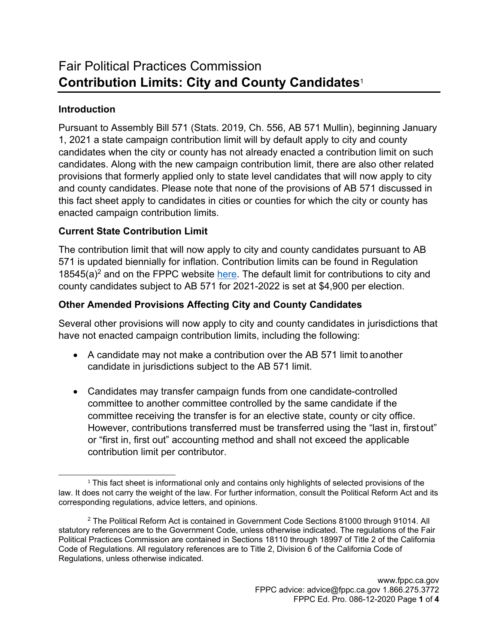# **Introduction**

Pursuant to Assembly Bill 571 (Stats. 2019, Ch. 556, AB 571 Mullin), beginning January 1, 2021 a state campaign contribution limit will by default apply to city and county candidates when the city or county has not already enacted a contribution limit on such candidates. Along with the new campaign contribution limit, there are also other related provisions that formerly applied only to state level candidates that will now apply to city and county candidates. Please note that none of the provisions of AB 571 discussed in this fact sheet apply to candidates in cities or counties for which the city or county has enacted campaign contribution limits.

## **Current State Contribution Limit**

The contribution limit that will now apply to city and county candidates pursuant to AB 571 is updated biennially for inflation. Contribution limits can be found in Regulation  $18545(a)^2$  and on the FPPC website [here.](http://www.fppc.ca.gov/learn/campaign-rules/state-contribution-limits.html) The default limit for contributions to city and county candidates subject to AB 571 for 2021-2022 is set at \$4,900 per election.

# **Other Amended Provisions Affecting City and County Candidates**

Several other provisions will now apply to city and county candidates in jurisdictions that have not enacted campaign contribution limits, including the following:

- A candidate may not make a contribution over the AB 571 limit to another candidate in jurisdictions subject to the AB 571 limit.
- Candidates may transfer campaign funds from one candidate-controlled committee to another committee controlled by the same candidate if the committee receiving the transfer is for an elective state, county or city office. However, contributions transferred must be transferred using the "last in, firstout" or "first in, first out" accounting method and shall not exceed the applicable contribution limit per contributor.

<span id="page-0-0"></span><sup>&</sup>lt;sup>1</sup> This fact sheet is informational only and contains only highlights of selected provisions of the law. It does not carry the weight of the law. For further information, consult the Political Reform Act and its corresponding regulations, advice letters, and opinions.

<span id="page-0-1"></span><sup>&</sup>lt;sup>2</sup> The Political Reform Act is contained in Government Code Sections 81000 through 91014. All statutory references are to the Government Code, unless otherwise indicated. The regulations of the Fair Political Practices Commission are contained in Sections 18110 through 18997 of Title 2 of the California Code of Regulations. All regulatory references are to Title 2, Division 6 of the California Code of Regulations, unless otherwise indicated.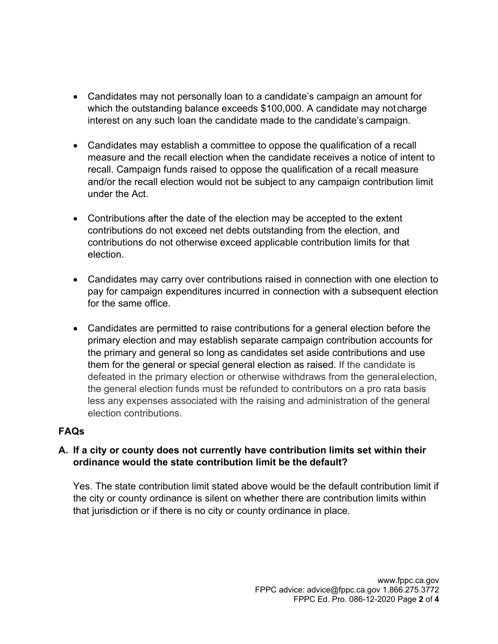- Candidates may not personally loan to a candidate's campaign an amount for which the outstanding balance exceeds \$100,000. A candidate may not charge interest on any such loan the candidate made to the candidate's campaign.
- Candidates may establish a committee to oppose the qualification of a recall measure and the recall election when the candidate receives a notice of intent to recall. Campaign funds raised to oppose the qualification of a recall measure and/or the recall election would not be subject to any campaign contribution limit under the Act.
- Contributions after the date of the election may be accepted to the extent contributions do not exceed net debts outstanding from the election, and contributions do not otherwise exceed applicable contribution limits for that election.
- Candidates may carry over contributions raised in connection with one election to pay for campaign expenditures incurred in connection with a subsequent election for the same office.
- Candidates are permitted to raise contributions for a general election before the primary election and may establish separate campaign contribution accounts for the primary and general so long as candidates set aside contributions and use them for the general or special general election as raised. If the candidate is defeated in the primary election or otherwise withdraws from the generalelection, the general election funds must be refunded to contributors on a pro rata basis less any expenses associated with the raising and administration of the general election contributions.

### **FAQs**

#### **A. If a city or county does not currently have contribution limits set within their ordinance would the state contribution limit be the default?**

Yes. The state contribution limit stated above would be the default contribution limit if the city or county ordinance is silent on whether there are contribution limits within that jurisdiction or if there is no city or county ordinance in place.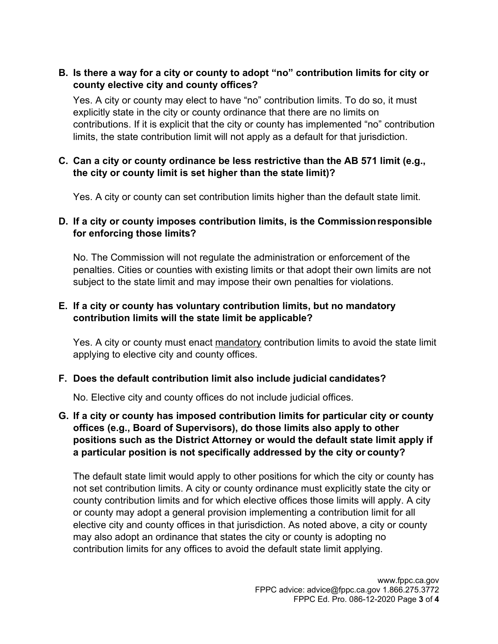### **B. Is there a way for a city or county to adopt "no" contribution limits for city or county elective city and county offices?**

Yes. A city or county may elect to have "no" contribution limits. To do so, it must explicitly state in the city or county ordinance that there are no limits on contributions. If it is explicit that the city or county has implemented "no" contribution limits, the state contribution limit will not apply as a default for that jurisdiction.

## **C. Can a city or county ordinance be less restrictive than the AB 571 limit (e.g., the city or county limit is set higher than the state limit)?**

Yes. A city or county can set contribution limits higher than the default state limit.

## **D. If a city or county imposes contribution limits, is the Commissionresponsible for enforcing those limits?**

No. The Commission will not regulate the administration or enforcement of the penalties. Cities or counties with existing limits or that adopt their own limits are not subject to the state limit and may impose their own penalties for violations.

## **E. If a city or county has voluntary contribution limits, but no mandatory contribution limits will the state limit be applicable?**

Yes. A city or county must enact mandatory contribution limits to avoid the state limit applying to elective city and county offices.

### **F. Does the default contribution limit also include judicial candidates?**

No. Elective city and county offices do not include judicial offices.

### **G. If a city or county has imposed contribution limits for particular city or county offices (e.g., Board of Supervisors), do those limits also apply to other positions such as the District Attorney or would the default state limit apply if a particular position is not specifically addressed by the city or county?**

The default state limit would apply to other positions for which the city or county has not set contribution limits. A city or county ordinance must explicitly state the city or county contribution limits and for which elective offices those limits will apply. A city or county may adopt a general provision implementing a contribution limit for all elective city and county offices in that jurisdiction. As noted above, a city or county may also adopt an ordinance that states the city or county is adopting no contribution limits for any offices to avoid the default state limit applying.